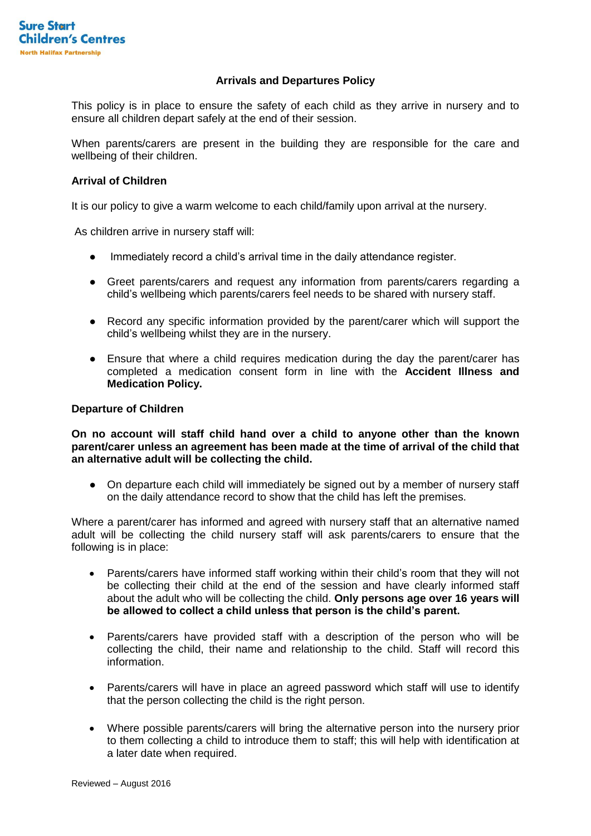## **Arrivals and Departures Policy**

This policy is in place to ensure the safety of each child as they arrive in nursery and to ensure all children depart safely at the end of their session.

When parents/carers are present in the building they are responsible for the care and wellbeing of their children.

## **Arrival of Children**

It is our policy to give a warm welcome to each child/family upon arrival at the nursery.

As children arrive in nursery staff will:

- Immediately record a child's arrival time in the daily attendance register.
- Greet parents/carers and request any information from parents/carers regarding a child's wellbeing which parents/carers feel needs to be shared with nursery staff.
- Record any specific information provided by the parent/carer which will support the child's wellbeing whilst they are in the nursery.
- Ensure that where a child requires medication during the day the parent/carer has completed a medication consent form in line with the **Accident Illness and Medication Policy.**

## **Departure of Children**

**On no account will staff child hand over a child to anyone other than the known parent/carer unless an agreement has been made at the time of arrival of the child that an alternative adult will be collecting the child.** 

• On departure each child will immediately be signed out by a member of nursery staff on the daily attendance record to show that the child has left the premises.

Where a parent/carer has informed and agreed with nursery staff that an alternative named adult will be collecting the child nursery staff will ask parents/carers to ensure that the following is in place:

- Parents/carers have informed staff working within their child's room that they will not be collecting their child at the end of the session and have clearly informed staff about the adult who will be collecting the child. **Only persons age over 16 years will be allowed to collect a child unless that person is the child's parent.**
- Parents/carers have provided staff with a description of the person who will be collecting the child, their name and relationship to the child. Staff will record this information.
- Parents/carers will have in place an agreed password which staff will use to identify that the person collecting the child is the right person.
- Where possible parents/carers will bring the alternative person into the nursery prior to them collecting a child to introduce them to staff; this will help with identification at a later date when required.